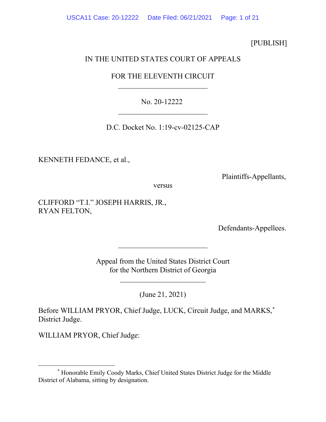[PUBLISH]

# IN THE UNITED STATES COURT OF APPEALS

# FOR THE ELEVENTH CIRCUIT  $\overline{\phantom{a}}$

# No. 20-12222  $\overline{\phantom{a}}$

D.C. Docket No. 1:19-cv-02125-CAP

KENNETH FEDANCE, et al.,

Plaintiffs-Appellants,

versus

CLIFFORD "T.I." JOSEPH HARRIS, JR., RYAN FELTON,

Defendants-Appellees.

Appeal from the United States District Court for the Northern District of Georgia

 $\overline{\phantom{a}}$  , which is a set of the set of the set of the set of the set of the set of the set of the set of the set of the set of the set of the set of the set of the set of the set of the set of the set of the set of th

 $\overline{\phantom{a}}$ 

(June 21, 2021)

Before WILLIAM PRYOR, Chief Judge, LUCK, Circuit Judge, and MARKS,[\\*](#page-0-0) District Judge.

WILLIAM PRYOR, Chief Judge:

<span id="page-0-0"></span><sup>\*</sup> Honorable Emily Coody Marks, Chief United States District Judge for the Middle District of Alabama, sitting by designation.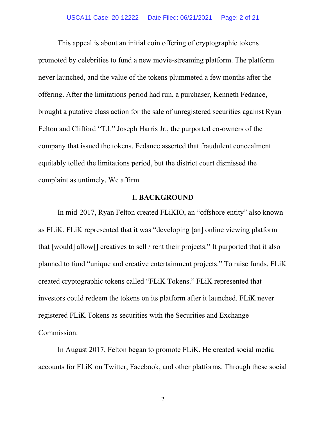This appeal is about an initial coin offering of cryptographic tokens promoted by celebrities to fund a new movie-streaming platform. The platform never launched, and the value of the tokens plummeted a few months after the offering. After the limitations period had run, a purchaser, Kenneth Fedance, brought a putative class action for the sale of unregistered securities against Ryan Felton and Clifford "T.I." Joseph Harris Jr., the purported co-owners of the company that issued the tokens. Fedance asserted that fraudulent concealment equitably tolled the limitations period, but the district court dismissed the complaint as untimely. We affirm.

#### **I. BACKGROUND**

In mid-2017, Ryan Felton created FLiKIO, an "offshore entity" also known as FLiK. FLiK represented that it was "developing [an] online viewing platform that [would] allow[] creatives to sell / rent their projects." It purported that it also planned to fund "unique and creative entertainment projects." To raise funds, FLiK created cryptographic tokens called "FLiK Tokens." FLiK represented that investors could redeem the tokens on its platform after it launched. FLiK never registered FLiK Tokens as securities with the Securities and Exchange Commission.

In August 2017, Felton began to promote FLiK. He created social media accounts for FLiK on Twitter, Facebook, and other platforms. Through these social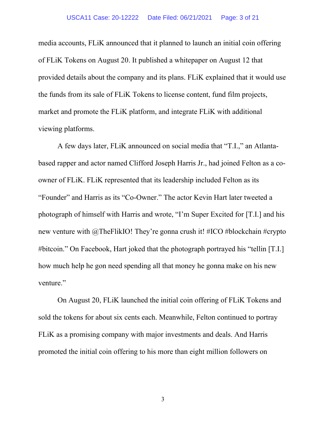#### USCA11 Case: 20-12222 Date Filed: 06/21/2021 Page: 3 of 21

media accounts, FLiK announced that it planned to launch an initial coin offering of FLiK Tokens on August 20. It published a whitepaper on August 12 that provided details about the company and its plans. FLiK explained that it would use the funds from its sale of FLiK Tokens to license content, fund film projects, market and promote the FLiK platform, and integrate FLiK with additional viewing platforms.

A few days later, FLiK announced on social media that "T.I.," an Atlantabased rapper and actor named Clifford Joseph Harris Jr., had joined Felton as a coowner of FLiK. FLiK represented that its leadership included Felton as its "Founder" and Harris as its "Co-Owner." The actor Kevin Hart later tweeted a photograph of himself with Harris and wrote, "I'm Super Excited for [T.I.] and his new venture with @TheFlikIO! They're gonna crush it! #ICO #blockchain #crypto #bitcoin." On Facebook, Hart joked that the photograph portrayed his "tellin [T.I.] how much help he gon need spending all that money he gonna make on his new venture."

On August 20, FLiK launched the initial coin offering of FLiK Tokens and sold the tokens for about six cents each. Meanwhile, Felton continued to portray FLiK as a promising company with major investments and deals. And Harris promoted the initial coin offering to his more than eight million followers on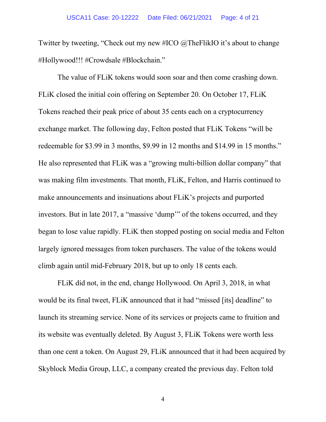Twitter by tweeting, "Check out my new #ICO @TheFlikIO it's about to change #Hollywood!!! #Crowdsale #Blockchain."

The value of FLiK tokens would soon soar and then come crashing down. FLiK closed the initial coin offering on September 20. On October 17, FLiK Tokens reached their peak price of about 35 cents each on a cryptocurrency exchange market. The following day, Felton posted that FLiK Tokens "will be redeemable for \$3.99 in 3 months, \$9.99 in 12 months and \$14.99 in 15 months." He also represented that FLiK was a "growing multi-billion dollar company" that was making film investments. That month, FLiK, Felton, and Harris continued to make announcements and insinuations about FLiK's projects and purported investors. But in late 2017, a "massive 'dump'" of the tokens occurred, and they began to lose value rapidly. FLiK then stopped posting on social media and Felton largely ignored messages from token purchasers. The value of the tokens would climb again until mid-February 2018, but up to only 18 cents each.

FLiK did not, in the end, change Hollywood. On April 3, 2018, in what would be its final tweet, FLiK announced that it had "missed [its] deadline" to launch its streaming service. None of its services or projects came to fruition and its website was eventually deleted. By August 3, FLiK Tokens were worth less than one cent a token. On August 29, FLiK announced that it had been acquired by Skyblock Media Group, LLC, a company created the previous day. Felton told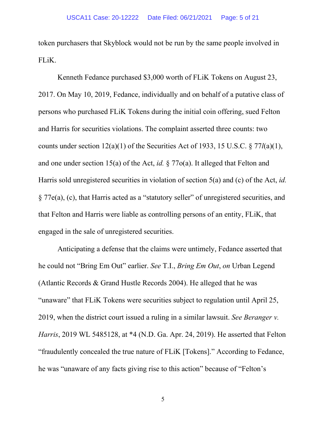token purchasers that Skyblock would not be run by the same people involved in FLiK.

Kenneth Fedance purchased \$3,000 worth of FLiK Tokens on August 23, 2017. On May 10, 2019, Fedance, individually and on behalf of a putative class of persons who purchased FLiK Tokens during the initial coin offering, sued Felton and Harris for securities violations. The complaint asserted three counts: two counts under section 12(a)(1) of the Securities Act of 1933, 15 U.S.C. § 77*l*(a)(1), and one under section 15(a) of the Act, *id.* § 77o(a). It alleged that Felton and Harris sold unregistered securities in violation of section 5(a) and (c) of the Act, *id.* § 77e(a), (c), that Harris acted as a "statutory seller" of unregistered securities, and that Felton and Harris were liable as controlling persons of an entity, FLiK, that engaged in the sale of unregistered securities.

Anticipating a defense that the claims were untimely, Fedance asserted that he could not "Bring Em Out" earlier. *See* T.I., *Bring Em Out*, *on* Urban Legend (Atlantic Records & Grand Hustle Records 2004). He alleged that he was "unaware" that FLiK Tokens were securities subject to regulation until April 25, 2019, when the district court issued a ruling in a similar lawsuit. *See Beranger v. Harris*, 2019 WL 5485128, at \*4 (N.D. Ga. Apr. 24, 2019). He asserted that Felton "fraudulently concealed the true nature of FLiK [Tokens]." According to Fedance, he was "unaware of any facts giving rise to this action" because of "Felton's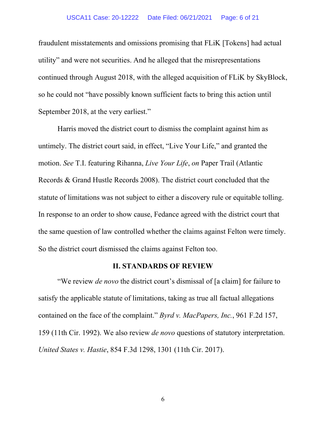#### USCA11 Case: 20-12222 Date Filed: 06/21/2021 Page: 6 of 21

fraudulent misstatements and omissions promising that FLiK [Tokens] had actual utility" and were not securities. And he alleged that the misrepresentations continued through August 2018, with the alleged acquisition of FLiK by SkyBlock, so he could not "have possibly known sufficient facts to bring this action until September 2018, at the very earliest."

Harris moved the district court to dismiss the complaint against him as untimely. The district court said, in effect, "Live Your Life," and granted the motion. *See* T.I. featuring Rihanna, *Live Your Life*, *on* Paper Trail (Atlantic Records & Grand Hustle Records 2008). The district court concluded that the statute of limitations was not subject to either a discovery rule or equitable tolling. In response to an order to show cause, Fedance agreed with the district court that the same question of law controlled whether the claims against Felton were timely. So the district court dismissed the claims against Felton too.

### **II. STANDARDS OF REVIEW**

"We review *de novo* the district court's dismissal of [a claim] for failure to satisfy the applicable statute of limitations, taking as true all factual allegations contained on the face of the complaint." *Byrd v. MacPapers, Inc.*, 961 F.2d 157, 159 (11th Cir. 1992). We also review *de novo* questions of statutory interpretation. *United States v. Hastie*, 854 F.3d 1298, 1301 (11th Cir. 2017).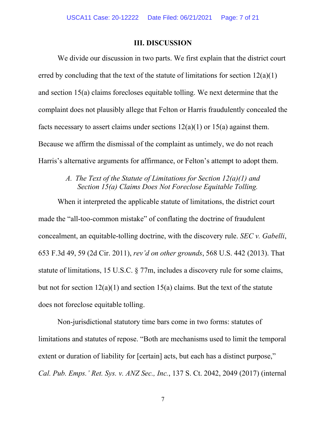#### **III. DISCUSSION**

We divide our discussion in two parts. We first explain that the district court erred by concluding that the text of the statute of limitations for section  $12(a)(1)$ and section 15(a) claims forecloses equitable tolling. We next determine that the complaint does not plausibly allege that Felton or Harris fraudulently concealed the facts necessary to assert claims under sections  $12(a)(1)$  or  $15(a)$  against them. Because we affirm the dismissal of the complaint as untimely, we do not reach Harris's alternative arguments for affirmance, or Felton's attempt to adopt them.

## *A. The Text of the Statute of Limitations for Section 12(a)(1) and Section 15(a) Claims Does Not Foreclose Equitable Tolling.*

When it interpreted the applicable statute of limitations, the district court made the "all-too-common mistake" of conflating the doctrine of fraudulent concealment, an equitable-tolling doctrine, with the discovery rule. *SEC v. Gabelli*, 653 F.3d 49, 59 (2d Cir. 2011), *rev'd on other grounds*, 568 U.S. 442 (2013). That statute of limitations, 15 U.S.C. § 77m, includes a discovery rule for some claims, but not for section  $12(a)(1)$  and section  $15(a)$  claims. But the text of the statute does not foreclose equitable tolling.

Non-jurisdictional statutory time bars come in two forms: statutes of limitations and statutes of repose. "Both are mechanisms used to limit the temporal extent or duration of liability for [certain] acts, but each has a distinct purpose," *Cal. Pub. Emps.' Ret. Sys. v. ANZ Sec., Inc.*, 137 S. Ct. 2042, 2049 (2017) (internal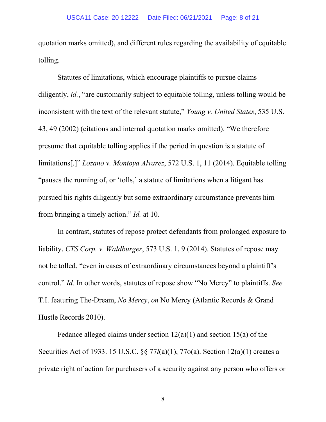quotation marks omitted), and different rules regarding the availability of equitable tolling.

Statutes of limitations, which encourage plaintiffs to pursue claims diligently, *id.*, "are customarily subject to equitable tolling, unless tolling would be inconsistent with the text of the relevant statute," *Young v. United States*, 535 U.S. 43, 49 (2002) (citations and internal quotation marks omitted). "We therefore presume that equitable tolling applies if the period in question is a statute of limitations[.]" *Lozano v. Montoya Alvarez*, 572 U.S. 1, 11 (2014). Equitable tolling "pauses the running of, or 'tolls,' a statute of limitations when a litigant has pursued his rights diligently but some extraordinary circumstance prevents him from bringing a timely action." *Id.* at 10.

In contrast, statutes of repose protect defendants from prolonged exposure to liability. *CTS Corp. v. Waldburger*, 573 U.S. 1, 9 (2014). Statutes of repose may not be tolled, "even in cases of extraordinary circumstances beyond a plaintiff's control." *Id.* In other words, statutes of repose show "No Mercy" to plaintiffs. *See*  T.I. featuring The-Dream, *No Mercy*, *on* No Mercy (Atlantic Records & Grand Hustle Records 2010).

Fedance alleged claims under section  $12(a)(1)$  and section  $15(a)$  of the Securities Act of 1933. 15 U.S.C. §§ 77*l*(a)(1), 77o(a). Section 12(a)(1) creates a private right of action for purchasers of a security against any person who offers or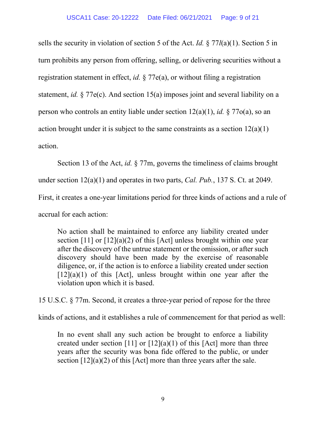sells the security in violation of section 5 of the Act. *Id.* § 77*l*(a)(1). Section 5 in turn prohibits any person from offering, selling, or delivering securities without a registration statement in effect, *id.* § 77e(a), or without filing a registration statement, *id.* § 77e(c). And section 15(a) imposes joint and several liability on a person who controls an entity liable under section 12(a)(1), *id.* § 77o(a), so an action brought under it is subject to the same constraints as a section  $12(a)(1)$ action.

Section 13 of the Act, *id.* § 77m, governs the timeliness of claims brought under section 12(a)(1) and operates in two parts, *Cal. Pub.*, 137 S. Ct. at 2049. First, it creates a one-year limitations period for three kinds of actions and a rule of accrual for each action:

No action shall be maintained to enforce any liability created under section [11] or [12](a)(2) of this [Act] unless brought within one year after the discovery of the untrue statement or the omission, or after such discovery should have been made by the exercise of reasonable diligence, or, if the action is to enforce a liability created under section  $[12](a)(1)$  of this  $[Act]$ , unless brought within one year after the violation upon which it is based.

15 U.S.C. § 77m. Second, it creates a three-year period of repose for the three

kinds of actions, and it establishes a rule of commencement for that period as well:

In no event shall any such action be brought to enforce a liability created under section  $[11]$  or  $[12](a)(1)$  of this  $[Act]$  more than three years after the security was bona fide offered to the public, or under section  $[12](a)(2)$  of this  $[Act]$  more than three years after the sale.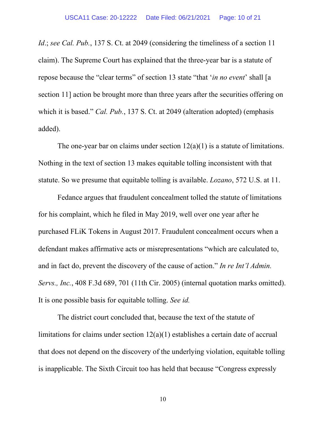*Id.*; *see Cal. Pub.*, 137 S. Ct. at 2049 (considering the timeliness of a section 11 claim). The Supreme Court has explained that the three-year bar is a statute of repose because the "clear terms" of section 13 state "that '*in no event*' shall [a section 11] action be brought more than three years after the securities offering on which it is based." *Cal. Pub.*, 137 S. Ct. at 2049 (alteration adopted) (emphasis added).

The one-year bar on claims under section  $12(a)(1)$  is a statute of limitations. Nothing in the text of section 13 makes equitable tolling inconsistent with that statute. So we presume that equitable tolling is available. *Lozano*, 572 U.S. at 11.

Fedance argues that fraudulent concealment tolled the statute of limitations for his complaint, which he filed in May 2019, well over one year after he purchased FLiK Tokens in August 2017. Fraudulent concealment occurs when a defendant makes affirmative acts or misrepresentations "which are calculated to, and in fact do, prevent the discovery of the cause of action." *In re Int'l Admin. Servs., Inc.*, 408 F.3d 689, 701 (11th Cir. 2005) (internal quotation marks omitted). It is one possible basis for equitable tolling. *See id.*

The district court concluded that, because the text of the statute of limitations for claims under section 12(a)(1) establishes a certain date of accrual that does not depend on the discovery of the underlying violation, equitable tolling is inapplicable. The Sixth Circuit too has held that because "Congress expressly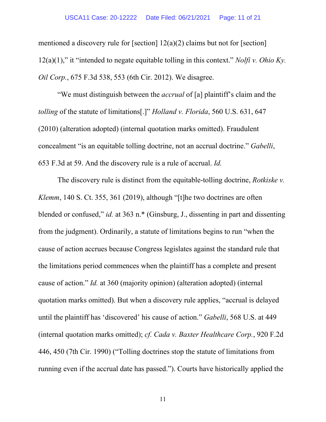mentioned a discovery rule for [section] 12(a)(2) claims but not for [section] 12(a)(1)," it "intended to negate equitable tolling in this context." *Nolfi v. Ohio Ky. Oil Corp.*, 675 F.3d 538, 553 (6th Cir. 2012). We disagree.

"We must distinguish between the *accrual* of [a] plaintiff's claim and the *tolling* of the statute of limitations[.]" *Holland v. Florida*, 560 U.S. 631, 647 (2010) (alteration adopted) (internal quotation marks omitted). Fraudulent concealment "is an equitable tolling doctrine, not an accrual doctrine." *Gabelli*, 653 F.3d at 59. And the discovery rule is a rule of accrual. *Id.*

The discovery rule is distinct from the equitable-tolling doctrine, *Rotkiske v. Klemm*, 140 S. Ct. 355, 361 (2019), although "[t]he two doctrines are often blended or confused," *id.* at 363 n.\* (Ginsburg, J., dissenting in part and dissenting from the judgment). Ordinarily, a statute of limitations begins to run "when the cause of action accrues because Congress legislates against the standard rule that the limitations period commences when the plaintiff has a complete and present cause of action." *Id.* at 360 (majority opinion) (alteration adopted) (internal quotation marks omitted). But when a discovery rule applies, "accrual is delayed until the plaintiff has 'discovered' his cause of action." *Gabelli*, 568 U.S. at 449 (internal quotation marks omitted); *cf. Cada v. Baxter Healthcare Corp.*, 920 F.2d 446, 450 (7th Cir. 1990) ("Tolling doctrines stop the statute of limitations from running even if the accrual date has passed."). Courts have historically applied the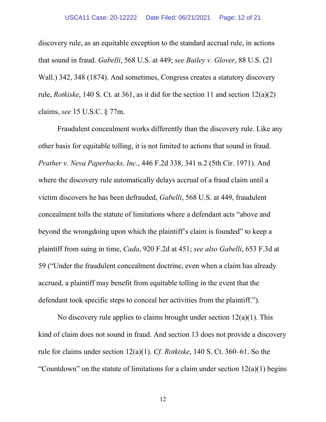discovery rule, as an equitable exception to the standard accrual rule, in actions that sound in fraud. *Gabelli*, 568 U.S. at 449; *see Bailey v. Glover*, 88 U.S. (21 Wall.) 342, 348 (1874). And sometimes, Congress creates a statutory discovery rule, *Rotkiske*, 140 S. Ct. at 361, as it did for the section 11 and section 12(a)(2) claims, *see* 15 U.S.C. § 77m.

Fraudulent concealment works differently than the discovery rule. Like any other basis for equitable tolling, it is not limited to actions that sound in fraud. *Prather v. Neva Paperbacks, Inc.*, 446 F.2d 338, 341 n.2 (5th Cir. 1971). And where the discovery rule automatically delays accrual of a fraud claim until a victim discovers he has been defrauded, *Gabelli*, 568 U.S. at 449, fraudulent concealment tolls the statute of limitations where a defendant acts "above and beyond the wrongdoing upon which the plaintiff's claim is founded" to keep a plaintiff from suing in time, *Cada*, 920 F.2d at 451; *see also Gabelli*, 653 F.3d at 59 ("Under the fraudulent concealment doctrine, even when a claim has already accrued, a plaintiff may benefit from equitable tolling in the event that the defendant took specific steps to conceal her activities from the plaintiff.").

No discovery rule applies to claims brought under section  $12(a)(1)$ . This kind of claim does not sound in fraud. And section 13 does not provide a discovery rule for claims under section 12(a)(1). *Cf. Rotkiske*, 140 S. Ct. 360–61. So the "Countdown" on the statute of limitations for a claim under section  $12(a)(1)$  begins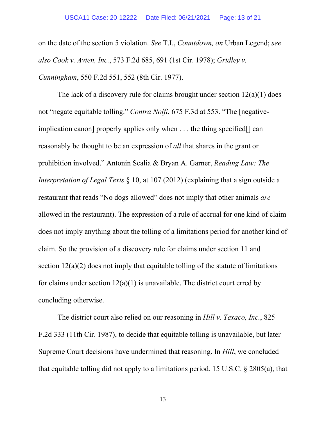on the date of the section 5 violation. *See* T.I., *Countdown, on* Urban Legend; *see also Cook v. Avien, Inc.*, 573 F.2d 685, 691 (1st Cir. 1978); *Gridley v. Cunningham*, 550 F.2d 551, 552 (8th Cir. 1977).

The lack of a discovery rule for claims brought under section  $12(a)(1)$  does not "negate equitable tolling." *Contra Nolfi*, 675 F.3d at 553. "The [negativeimplication canon] properly applies only when . . . the thing specified[] can reasonably be thought to be an expression of *all* that shares in the grant or prohibition involved." Antonin Scalia & Bryan A. Garner, *Reading Law: The Interpretation of Legal Texts* § 10, at 107 (2012) (explaining that a sign outside a restaurant that reads "No dogs allowed" does not imply that other animals *are* allowed in the restaurant). The expression of a rule of accrual for one kind of claim does not imply anything about the tolling of a limitations period for another kind of claim. So the provision of a discovery rule for claims under section 11 and section  $12(a)(2)$  does not imply that equitable tolling of the statute of limitations for claims under section  $12(a)(1)$  is unavailable. The district court erred by concluding otherwise.

The district court also relied on our reasoning in *Hill v. Texaco, Inc.*, 825 F.2d 333 (11th Cir. 1987), to decide that equitable tolling is unavailable, but later Supreme Court decisions have undermined that reasoning. In *Hill*, we concluded that equitable tolling did not apply to a limitations period, 15 U.S.C. § 2805(a), that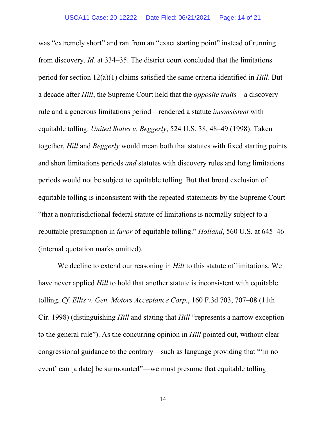was "extremely short" and ran from an "exact starting point" instead of running from discovery. *Id.* at 334–35. The district court concluded that the limitations period for section 12(a)(1) claims satisfied the same criteria identified in *Hill*. But a decade after *Hill*, the Supreme Court held that the *opposite traits*—a discovery rule and a generous limitations period—rendered a statute *inconsistent* with equitable tolling. *United States v. Beggerly*, 524 U.S. 38, 48–49 (1998). Taken together, *Hill* and *Beggerly* would mean both that statutes with fixed starting points and short limitations periods *and* statutes with discovery rules and long limitations periods would not be subject to equitable tolling. But that broad exclusion of equitable tolling is inconsistent with the repeated statements by the Supreme Court "that a nonjurisdictional federal statute of limitations is normally subject to a rebuttable presumption in *favor* of equitable tolling." *Holland*, 560 U.S. at 645–46 (internal quotation marks omitted).

We decline to extend our reasoning in *Hill* to this statute of limitations. We have never applied *Hill* to hold that another statute is inconsistent with equitable tolling. *Cf. Ellis v. Gen. Motors Acceptance Corp.*, 160 F.3d 703, 707–08 (11th Cir. 1998) (distinguishing *Hill* and stating that *Hill* "represents a narrow exception to the general rule"). As the concurring opinion in *Hill* pointed out, without clear congressional guidance to the contrary—such as language providing that "'in no event' can [a date] be surmounted"—we must presume that equitable tolling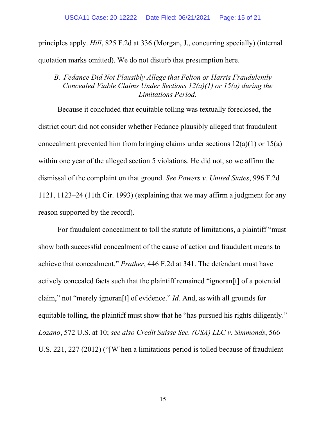principles apply. *Hill*, 825 F.2d at 336 (Morgan, J., concurring specially) (internal quotation marks omitted). We do not disturb that presumption here.

## *B. Fedance Did Not Plausibly Allege that Felton or Harris Fraudulently Concealed Viable Claims Under Sections 12(a)(1) or 15(a) during the Limitations Period.*

Because it concluded that equitable tolling was textually foreclosed, the district court did not consider whether Fedance plausibly alleged that fraudulent concealment prevented him from bringing claims under sections 12(a)(1) or 15(a) within one year of the alleged section 5 violations. He did not, so we affirm the dismissal of the complaint on that ground. *See Powers v. United States*, 996 F.2d 1121, 1123–24 (11th Cir. 1993) (explaining that we may affirm a judgment for any reason supported by the record).

For fraudulent concealment to toll the statute of limitations, a plaintiff "must show both successful concealment of the cause of action and fraudulent means to achieve that concealment." *Prather*, 446 F.2d at 341. The defendant must have actively concealed facts such that the plaintiff remained "ignoran[t] of a potential claim," not "merely ignoran[t] of evidence." *Id.* And, as with all grounds for equitable tolling, the plaintiff must show that he "has pursued his rights diligently." *Lozano*, 572 U.S. at 10; *see also Credit Suisse Sec. (USA) LLC v. Simmonds*, 566 U.S. 221, 227 (2012) ("[W]hen a limitations period is tolled because of fraudulent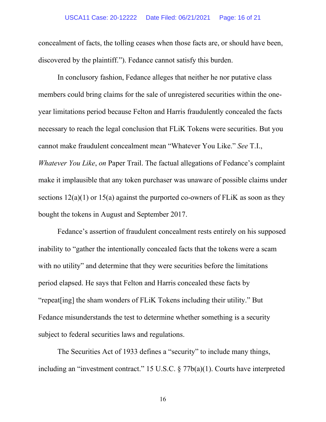concealment of facts, the tolling ceases when those facts are, or should have been, discovered by the plaintiff."). Fedance cannot satisfy this burden.

In conclusory fashion, Fedance alleges that neither he nor putative class members could bring claims for the sale of unregistered securities within the oneyear limitations period because Felton and Harris fraudulently concealed the facts necessary to reach the legal conclusion that FLiK Tokens were securities. But you cannot make fraudulent concealment mean "Whatever You Like." *See* T.I., *Whatever You Like*, *on* Paper Trail. The factual allegations of Fedance's complaint make it implausible that any token purchaser was unaware of possible claims under sections  $12(a)(1)$  or  $15(a)$  against the purported co-owners of FLiK as soon as they bought the tokens in August and September 2017.

Fedance's assertion of fraudulent concealment rests entirely on his supposed inability to "gather the intentionally concealed facts that the tokens were a scam with no utility" and determine that they were securities before the limitations period elapsed. He says that Felton and Harris concealed these facts by "repeat[ing] the sham wonders of FLiK Tokens including their utility." But Fedance misunderstands the test to determine whether something is a security subject to federal securities laws and regulations.

The Securities Act of 1933 defines a "security" to include many things, including an "investment contract." 15 U.S.C. § 77b(a)(1). Courts have interpreted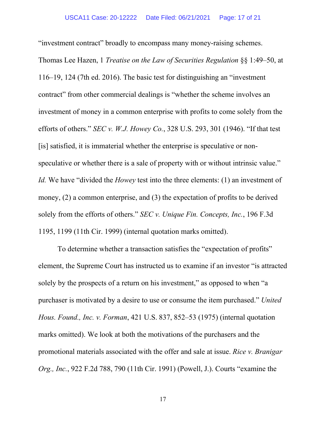"investment contract" broadly to encompass many money-raising schemes. Thomas Lee Hazen, 1 *Treatise on the Law of Securities Regulation* §§ 1:49–50, at 116–19, 124 (7th ed. 2016). The basic test for distinguishing an "investment contract" from other commercial dealings is "whether the scheme involves an investment of money in a common enterprise with profits to come solely from the efforts of others." *SEC v. W.J. Howey Co.*, 328 U.S. 293, 301 (1946). "If that test [is] satisfied, it is immaterial whether the enterprise is speculative or nonspeculative or whether there is a sale of property with or without intrinsic value." *Id.* We have "divided the *Howey* test into the three elements: (1) an investment of money, (2) a common enterprise, and (3) the expectation of profits to be derived solely from the efforts of others." *SEC v. Unique Fin. Concepts, Inc.*, 196 F.3d 1195, 1199 (11th Cir. 1999) (internal quotation marks omitted).

To determine whether a transaction satisfies the "expectation of profits" element, the Supreme Court has instructed us to examine if an investor "is attracted solely by the prospects of a return on his investment," as opposed to when "a purchaser is motivated by a desire to use or consume the item purchased." *United Hous. Found., Inc. v. Forman*, 421 U.S. 837, 852–53 (1975) (internal quotation marks omitted). We look at both the motivations of the purchasers and the promotional materials associated with the offer and sale at issue. *Rice v. Branigar Org., Inc.*, 922 F.2d 788, 790 (11th Cir. 1991) (Powell, J.). Courts "examine the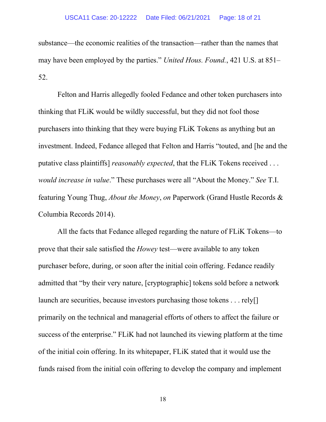substance—the economic realities of the transaction—rather than the names that may have been employed by the parties." *United Hous. Found.*, 421 U.S. at 851– 52.

Felton and Harris allegedly fooled Fedance and other token purchasers into thinking that FLiK would be wildly successful, but they did not fool those purchasers into thinking that they were buying FLiK Tokens as anything but an investment. Indeed, Fedance alleged that Felton and Harris "touted, and [he and the putative class plaintiffs] *reasonably expected*, that the FLiK Tokens received . . . *would increase in value*." These purchases were all "About the Money." *See* T.I. featuring Young Thug, *About the Money*, *on* Paperwork (Grand Hustle Records & Columbia Records 2014).

All the facts that Fedance alleged regarding the nature of FLiK Tokens—to prove that their sale satisfied the *Howey* test—were available to any token purchaser before, during, or soon after the initial coin offering. Fedance readily admitted that "by their very nature, [cryptographic] tokens sold before a network launch are securities, because investors purchasing those tokens . . . rely[] primarily on the technical and managerial efforts of others to affect the failure or success of the enterprise." FLiK had not launched its viewing platform at the time of the initial coin offering. In its whitepaper, FLiK stated that it would use the funds raised from the initial coin offering to develop the company and implement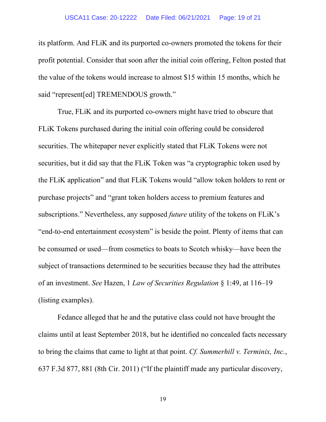its platform. And FLiK and its purported co-owners promoted the tokens for their profit potential. Consider that soon after the initial coin offering, Felton posted that the value of the tokens would increase to almost \$15 within 15 months, which he said "represent[ed] TREMENDOUS growth."

True, FLiK and its purported co-owners might have tried to obscure that FLiK Tokens purchased during the initial coin offering could be considered securities. The whitepaper never explicitly stated that FLiK Tokens were not securities, but it did say that the FLiK Token was "a cryptographic token used by the FLiK application" and that FLiK Tokens would "allow token holders to rent or purchase projects" and "grant token holders access to premium features and subscriptions." Nevertheless, any supposed *future* utility of the tokens on FLiK's "end-to-end entertainment ecosystem" is beside the point. Plenty of items that can be consumed or used—from cosmetics to boats to Scotch whisky—have been the subject of transactions determined to be securities because they had the attributes of an investment. *See* Hazen, 1 *Law of Securities Regulation* § 1:49, at 116–19 (listing examples).

Fedance alleged that he and the putative class could not have brought the claims until at least September 2018, but he identified no concealed facts necessary to bring the claims that came to light at that point. *Cf. Summerhill v. Terminix, Inc.*, 637 F.3d 877, 881 (8th Cir. 2011) ("If the plaintiff made any particular discovery,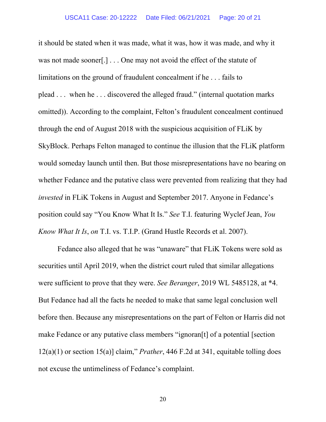it should be stated when it was made, what it was, how it was made, and why it was not made sooner... One may not avoid the effect of the statute of limitations on the ground of fraudulent concealment if he . . . fails to plead . . . when he . . . discovered the alleged fraud." (internal quotation marks omitted)). According to the complaint, Felton's fraudulent concealment continued through the end of August 2018 with the suspicious acquisition of FLiK by SkyBlock. Perhaps Felton managed to continue the illusion that the FLiK platform would someday launch until then. But those misrepresentations have no bearing on whether Fedance and the putative class were prevented from realizing that they had *invested* in FLiK Tokens in August and September 2017. Anyone in Fedance's position could say "You Know What It Is." *See* T.I. featuring Wyclef Jean, *You Know What It Is*, *on* T.I. vs. T.I.P. (Grand Hustle Records et al. 2007).

Fedance also alleged that he was "unaware" that FLiK Tokens were sold as securities until April 2019, when the district court ruled that similar allegations were sufficient to prove that they were. *See Beranger*, 2019 WL 5485128, at \*4. But Fedance had all the facts he needed to make that same legal conclusion well before then. Because any misrepresentations on the part of Felton or Harris did not make Fedance or any putative class members "ignoran[t] of a potential [section 12(a)(1) or section 15(a)] claim," *Prather*, 446 F.2d at 341, equitable tolling does not excuse the untimeliness of Fedance's complaint.